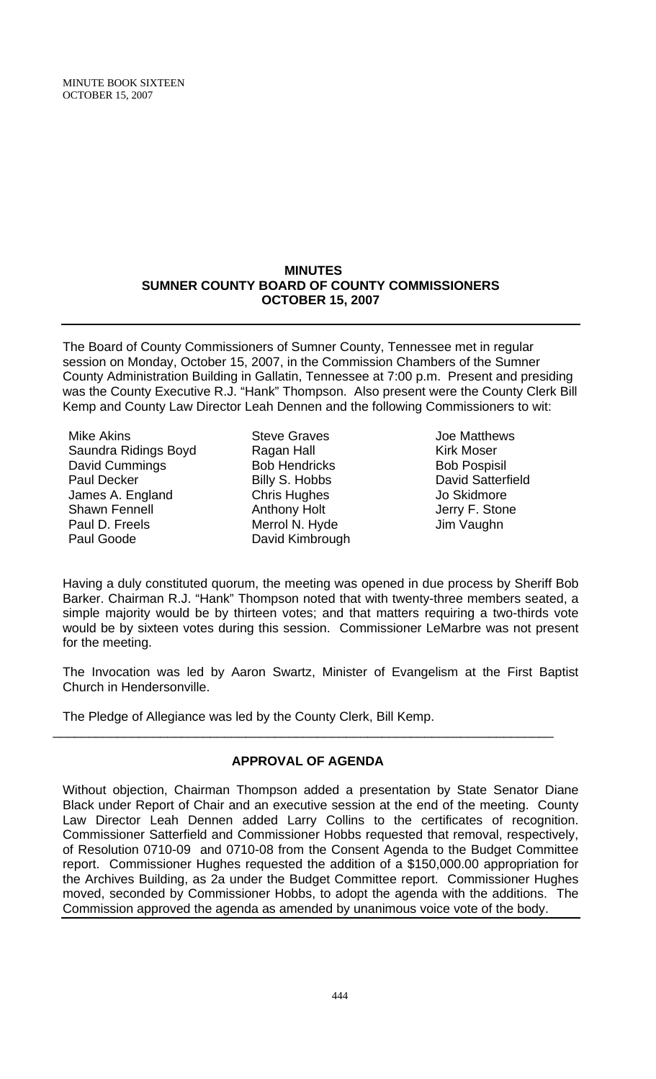MINUTE BOOK SIXTEEN OCTOBER 15, 2007

#### **MINUTES SUMNER COUNTY BOARD OF COUNTY COMMISSIONERS OCTOBER 15, 2007**

The Board of County Commissioners of Sumner County, Tennessee met in regular session on Monday, October 15, 2007, in the Commission Chambers of the Sumner County Administration Building in Gallatin, Tennessee at 7:00 p.m. Present and presiding was the County Executive R.J. "Hank" Thompson. Also present were the County Clerk Bill Kemp and County Law Director Leah Dennen and the following Commissioners to wit:

- Mike Akins Saundra Ridings Boyd David Cummings Paul Decker James A. England Shawn Fennell Paul D. Freels Paul Goode
- Steve Graves Ragan Hall Bob Hendricks Billy S. Hobbs Chris Hughes Anthony Holt Merrol N. Hyde David Kimbrough
- Joe Matthews Kirk Moser Bob Pospisil David Satterfield Jo Skidmore Jerry F. Stone Jim Vaughn

Having a duly constituted quorum, the meeting was opened in due process by Sheriff Bob Barker. Chairman R.J. "Hank" Thompson noted that with twenty-three members seated, a simple majority would be by thirteen votes; and that matters requiring a two-thirds vote would be by sixteen votes during this session. Commissioner LeMarbre was not present for the meeting.

The Invocation was led by Aaron Swartz, Minister of Evangelism at the First Baptist Church in Hendersonville.

The Pledge of Allegiance was led by the County Clerk, Bill Kemp.

# **APPROVAL OF AGENDA**

\_\_\_\_\_\_\_\_\_\_\_\_\_\_\_\_\_\_\_\_\_\_\_\_\_\_\_\_\_\_\_\_\_\_\_\_\_\_\_\_\_\_\_\_\_\_\_\_\_\_\_\_\_\_\_\_\_\_\_\_\_\_\_\_\_\_\_\_\_\_

Without objection, Chairman Thompson added a presentation by State Senator Diane Black under Report of Chair and an executive session at the end of the meeting. County Law Director Leah Dennen added Larry Collins to the certificates of recognition. Commissioner Satterfield and Commissioner Hobbs requested that removal, respectively, of Resolution 0710-09 and 0710-08 from the Consent Agenda to the Budget Committee report. Commissioner Hughes requested the addition of a \$150,000.00 appropriation for the Archives Building, as 2a under the Budget Committee report. Commissioner Hughes moved, seconded by Commissioner Hobbs, to adopt the agenda with the additions. The Commission approved the agenda as amended by unanimous voice vote of the body.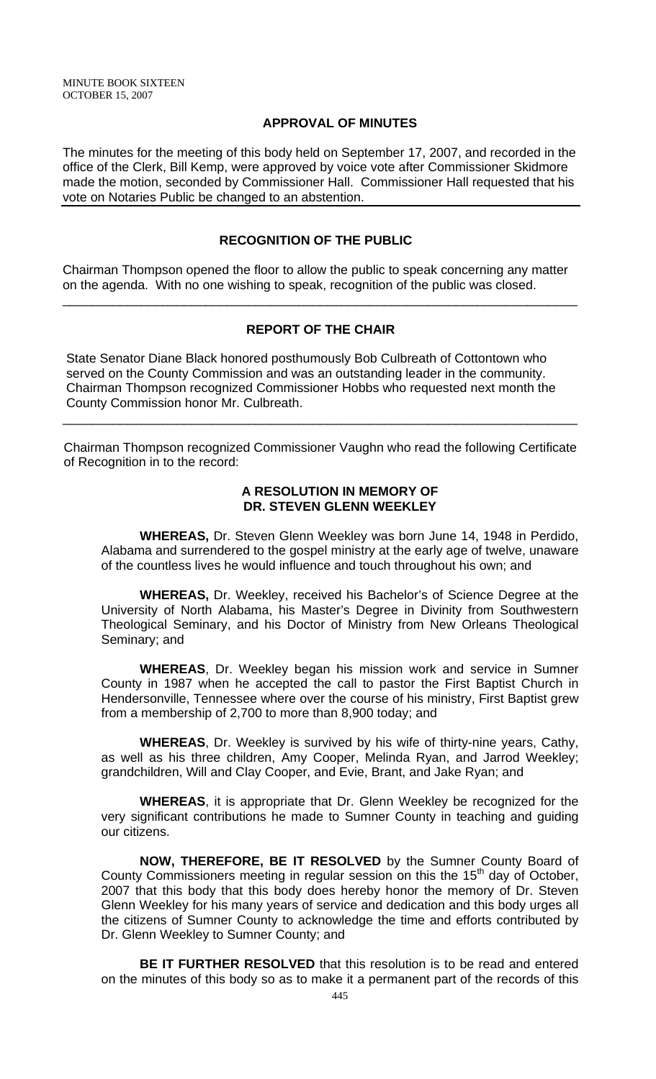## **APPROVAL OF MINUTES**

The minutes for the meeting of this body held on September 17, 2007, and recorded in the office of the Clerk, Bill Kemp, were approved by voice vote after Commissioner Skidmore made the motion, seconded by Commissioner Hall. Commissioner Hall requested that his vote on Notaries Public be changed to an abstention.

## **RECOGNITION OF THE PUBLIC**

Chairman Thompson opened the floor to allow the public to speak concerning any matter on the agenda. With no one wishing to speak, recognition of the public was closed.

## **REPORT OF THE CHAIR**

\_\_\_\_\_\_\_\_\_\_\_\_\_\_\_\_\_\_\_\_\_\_\_\_\_\_\_\_\_\_\_\_\_\_\_\_\_\_\_\_\_\_\_\_\_\_\_\_\_\_\_\_\_\_\_\_\_\_\_\_\_\_\_\_\_\_\_\_\_\_\_\_

 State Senator Diane Black honored posthumously Bob Culbreath of Cottontown who served on the County Commission and was an outstanding leader in the community. Chairman Thompson recognized Commissioner Hobbs who requested next month the County Commission honor Mr. Culbreath.

Chairman Thompson recognized Commissioner Vaughn who read the following Certificate of Recognition in to the record:

\_\_\_\_\_\_\_\_\_\_\_\_\_\_\_\_\_\_\_\_\_\_\_\_\_\_\_\_\_\_\_\_\_\_\_\_\_\_\_\_\_\_\_\_\_\_\_\_\_\_\_\_\_\_\_\_\_\_\_\_\_\_\_\_\_\_\_\_\_\_\_\_

#### **A RESOLUTION IN MEMORY OF DR. STEVEN GLENN WEEKLEY**

 **WHEREAS,** Dr. Steven Glenn Weekley was born June 14, 1948 in Perdido, Alabama and surrendered to the gospel ministry at the early age of twelve, unaware of the countless lives he would influence and touch throughout his own; and

**WHEREAS,** Dr. Weekley, received his Bachelor's of Science Degree at the University of North Alabama, his Master's Degree in Divinity from Southwestern Theological Seminary, and his Doctor of Ministry from New Orleans Theological Seminary; and

**WHEREAS**, Dr. Weekley began his mission work and service in Sumner County in 1987 when he accepted the call to pastor the First Baptist Church in Hendersonville, Tennessee where over the course of his ministry, First Baptist grew from a membership of 2,700 to more than 8,900 today; and

**WHEREAS**, Dr. Weekley is survived by his wife of thirty-nine years, Cathy, as well as his three children, Amy Cooper, Melinda Ryan, and Jarrod Weekley; grandchildren, Will and Clay Cooper, and Evie, Brant, and Jake Ryan; and

**WHEREAS**, it is appropriate that Dr. Glenn Weekley be recognized for the very significant contributions he made to Sumner County in teaching and guiding our citizens.

**NOW, THEREFORE, BE IT RESOLVED** by the Sumner County Board of County Commissioners meeting in regular session on this the  $15<sup>th</sup>$  day of October, 2007 that this body that this body does hereby honor the memory of Dr. Steven Glenn Weekley for his many years of service and dedication and this body urges all the citizens of Sumner County to acknowledge the time and efforts contributed by Dr. Glenn Weekley to Sumner County; and

**BE IT FURTHER RESOLVED** that this resolution is to be read and entered on the minutes of this body so as to make it a permanent part of the records of this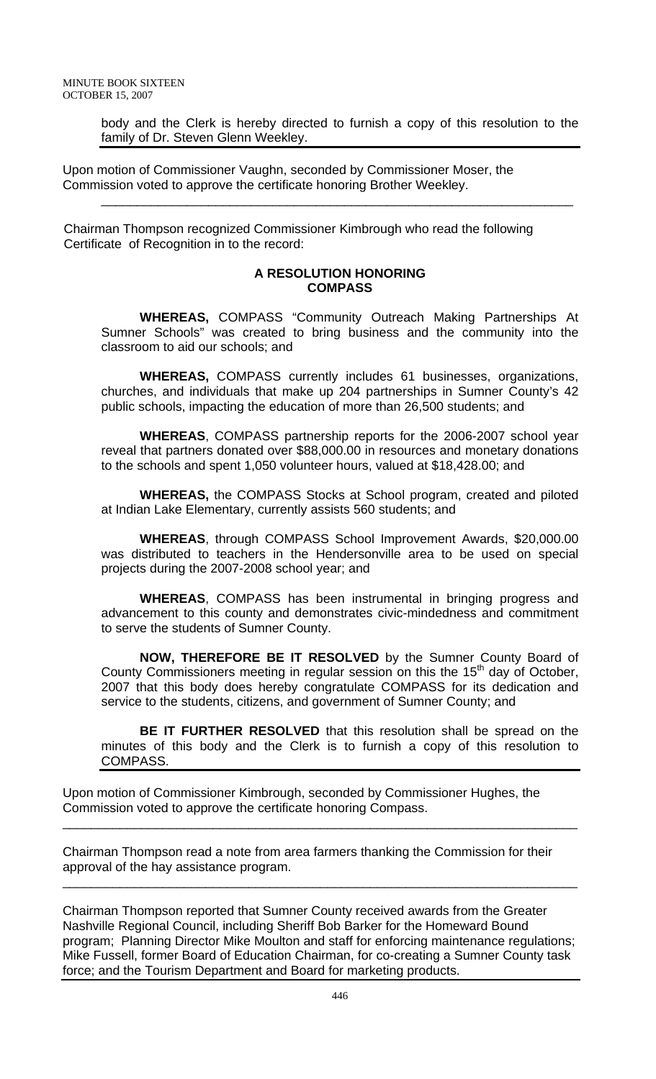body and the Clerk is hereby directed to furnish a copy of this resolution to the family of Dr. Steven Glenn Weekley.

\_\_\_\_\_\_\_\_\_\_\_\_\_\_\_\_\_\_\_\_\_\_\_\_\_\_\_\_\_\_\_\_\_\_\_\_\_\_\_\_\_\_\_\_\_\_\_\_\_\_\_\_\_\_\_\_\_\_\_\_\_\_\_\_\_\_

Upon motion of Commissioner Vaughn, seconded by Commissioner Moser, the Commission voted to approve the certificate honoring Brother Weekley.

 Chairman Thompson recognized Commissioner Kimbrough who read the following Certificate of Recognition in to the record:

## **A RESOLUTION HONORING COMPASS**

**WHEREAS,** COMPASS "Community Outreach Making Partnerships At Sumner Schools" was created to bring business and the community into the classroom to aid our schools; and

**WHEREAS,** COMPASS currently includes 61 businesses, organizations, churches, and individuals that make up 204 partnerships in Sumner County's 42 public schools, impacting the education of more than 26,500 students; and

**WHEREAS**, COMPASS partnership reports for the 2006-2007 school year reveal that partners donated over \$88,000.00 in resources and monetary donations to the schools and spent 1,050 volunteer hours, valued at \$18,428.00; and

**WHEREAS,** the COMPASS Stocks at School program, created and piloted at Indian Lake Elementary, currently assists 560 students; and

**WHEREAS**, through COMPASS School Improvement Awards, \$20,000.00 was distributed to teachers in the Hendersonville area to be used on special projects during the 2007-2008 school year; and

**WHEREAS**, COMPASS has been instrumental in bringing progress and advancement to this county and demonstrates civic-mindedness and commitment to serve the students of Sumner County.

 **NOW, THEREFORE BE IT RESOLVED** by the Sumner County Board of County Commissioners meeting in regular session on this the  $15<sup>th</sup>$  day of October, 2007 that this body does hereby congratulate COMPASS for its dedication and service to the students, citizens, and government of Sumner County; and

**BE IT FURTHER RESOLVED** that this resolution shall be spread on the minutes of this body and the Clerk is to furnish a copy of this resolution to COMPASS.

Upon motion of Commissioner Kimbrough, seconded by Commissioner Hughes, the Commission voted to approve the certificate honoring Compass.

Chairman Thompson read a note from area farmers thanking the Commission for their approval of the hay assistance program.

\_\_\_\_\_\_\_\_\_\_\_\_\_\_\_\_\_\_\_\_\_\_\_\_\_\_\_\_\_\_\_\_\_\_\_\_\_\_\_\_\_\_\_\_\_\_\_\_\_\_\_\_\_\_\_\_\_\_\_\_\_\_\_\_\_\_\_\_\_\_\_\_

\_\_\_\_\_\_\_\_\_\_\_\_\_\_\_\_\_\_\_\_\_\_\_\_\_\_\_\_\_\_\_\_\_\_\_\_\_\_\_\_\_\_\_\_\_\_\_\_\_\_\_\_\_\_\_\_\_\_\_\_\_\_\_\_\_\_\_\_\_\_\_\_

Chairman Thompson reported that Sumner County received awards from the Greater Nashville Regional Council, including Sheriff Bob Barker for the Homeward Bound program; Planning Director Mike Moulton and staff for enforcing maintenance regulations; Mike Fussell, former Board of Education Chairman, for co-creating a Sumner County task force; and the Tourism Department and Board for marketing products.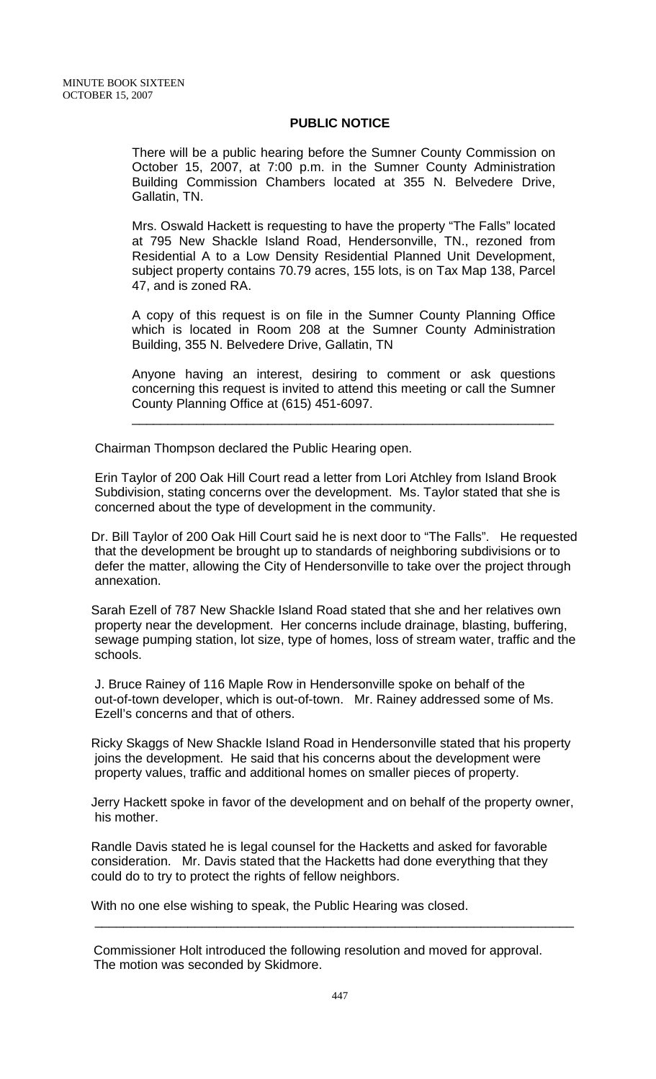#### **PUBLIC NOTICE**

There will be a public hearing before the Sumner County Commission on October 15, 2007, at 7:00 p.m. in the Sumner County Administration Building Commission Chambers located at 355 N. Belvedere Drive, Gallatin, TN.

Mrs. Oswald Hackett is requesting to have the property "The Falls" located at 795 New Shackle Island Road, Hendersonville, TN., rezoned from Residential A to a Low Density Residential Planned Unit Development, subject property contains 70.79 acres, 155 lots, is on Tax Map 138, Parcel 47, and is zoned RA.

A copy of this request is on file in the Sumner County Planning Office which is located in Room 208 at the Sumner County Administration Building, 355 N. Belvedere Drive, Gallatin, TN

Anyone having an interest, desiring to comment or ask questions concerning this request is invited to attend this meeting or call the Sumner County Planning Office at (615) 451-6097.

\_\_\_\_\_\_\_\_\_\_\_\_\_\_\_\_\_\_\_\_\_\_\_\_\_\_\_\_\_\_\_\_\_\_\_\_\_\_\_\_\_\_\_\_\_\_\_\_\_\_\_\_\_\_\_\_\_\_\_

Chairman Thompson declared the Public Hearing open.

 Erin Taylor of 200 Oak Hill Court read a letter from Lori Atchley from Island Brook Subdivision, stating concerns over the development. Ms. Taylor stated that she is concerned about the type of development in the community.

Dr. Bill Taylor of 200 Oak Hill Court said he is next door to "The Falls". He requested that the development be brought up to standards of neighboring subdivisions or to defer the matter, allowing the City of Hendersonville to take over the project through annexation.

Sarah Ezell of 787 New Shackle Island Road stated that she and her relatives own property near the development. Her concerns include drainage, blasting, buffering, sewage pumping station, lot size, type of homes, loss of stream water, traffic and the schools.

 J. Bruce Rainey of 116 Maple Row in Hendersonville spoke on behalf of the out-of-town developer, which is out-of-town. Mr. Rainey addressed some of Ms. Ezell's concerns and that of others.

Ricky Skaggs of New Shackle Island Road in Hendersonville stated that his property joins the development. He said that his concerns about the development were property values, traffic and additional homes on smaller pieces of property.

Jerry Hackett spoke in favor of the development and on behalf of the property owner, his mother.

Randle Davis stated he is legal counsel for the Hacketts and asked for favorable consideration. Mr. Davis stated that the Hacketts had done everything that they could do to try to protect the rights of fellow neighbors.

With no one else wishing to speak, the Public Hearing was closed.

 Commissioner Holt introduced the following resolution and moved for approval. The motion was seconded by Skidmore.

 $\frac{1}{\sqrt{2}}$  ,  $\frac{1}{\sqrt{2}}$  ,  $\frac{1}{\sqrt{2}}$  ,  $\frac{1}{\sqrt{2}}$  ,  $\frac{1}{\sqrt{2}}$  ,  $\frac{1}{\sqrt{2}}$  ,  $\frac{1}{\sqrt{2}}$  ,  $\frac{1}{\sqrt{2}}$  ,  $\frac{1}{\sqrt{2}}$  ,  $\frac{1}{\sqrt{2}}$  ,  $\frac{1}{\sqrt{2}}$  ,  $\frac{1}{\sqrt{2}}$  ,  $\frac{1}{\sqrt{2}}$  ,  $\frac{1}{\sqrt{2}}$  ,  $\frac{1}{\sqrt{2}}$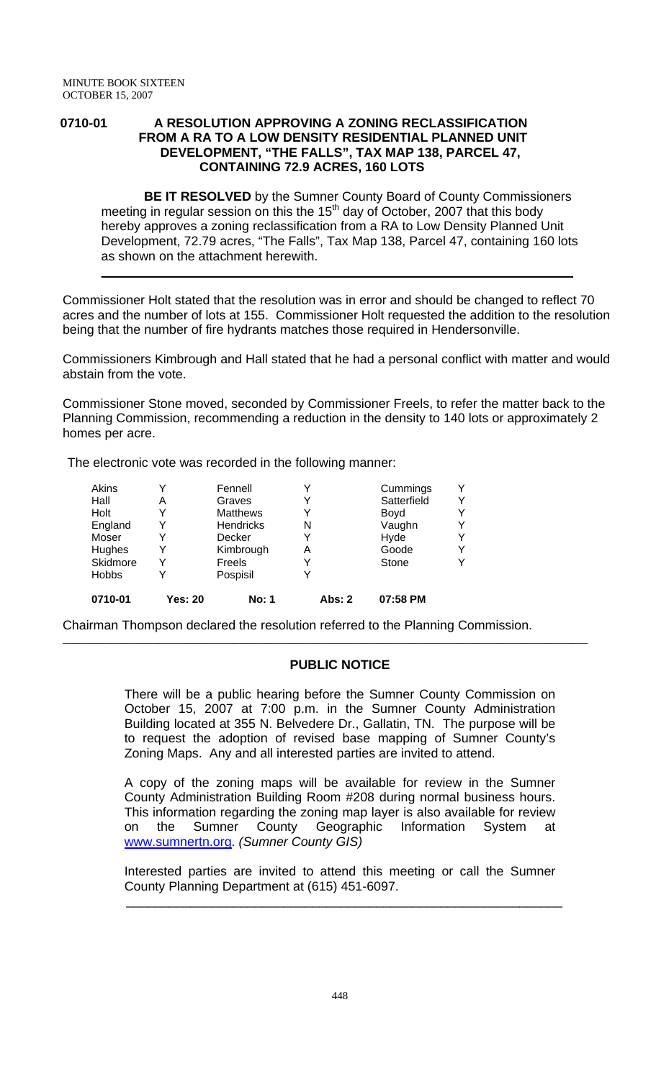#### **0710-01 A RESOLUTION APPROVING A ZONING RECLASSIFICATION FROM A RA TO A LOW DENSITY RESIDENTIAL PLANNED UNIT DEVELOPMENT, "THE FALLS", TAX MAP 138, PARCEL 47, CONTAINING 72.9 ACRES, 160 LOTS**

 **BE IT RESOLVED** by the Sumner County Board of County Commissioners meeting in regular session on this the  $15<sup>th</sup>$  day of October, 2007 that this body hereby approves a zoning reclassification from a RA to Low Density Planned Unit Development, 72.79 acres, "The Falls", Tax Map 138, Parcel 47, containing 160 lots as shown on the attachment herewith.

Commissioner Holt stated that the resolution was in error and should be changed to reflect 70 acres and the number of lots at 155. Commissioner Holt requested the addition to the resolution being that the number of fire hydrants matches those required in Hendersonville.

 $\_$  , and the set of the set of the set of the set of the set of the set of the set of the set of the set of the set of the set of the set of the set of the set of the set of the set of the set of the set of the set of th

Commissioners Kimbrough and Hall stated that he had a personal conflict with matter and would abstain from the vote.

Commissioner Stone moved, seconded by Commissioner Freels, to refer the matter back to the Planning Commission, recommending a reduction in the density to 140 lots or approximately 2 homes per acre.

The electronic vote was recorded in the following manner:

| 0710-01      | <b>Yes: 20</b> | <b>No: 1</b>     | <b>Abs: 2</b> | 07:58 PM    |   |
|--------------|----------------|------------------|---------------|-------------|---|
| <b>Hobbs</b> | v              | Pospisil         |               |             |   |
| Skidmore     | Y              | Freels           |               | Stone       | Y |
| Hughes       | Y              | Kimbrough        | Α             | Goode       | v |
| Moser        | Y              | Decker           |               | Hyde        | v |
| England      | Y              | <b>Hendricks</b> | N             | Vaughn      | Y |
| Holt         | Y              | <b>Matthews</b>  |               | Boyd        | v |
| Hall         | А              | Graves           |               | Satterfield | Y |
| Akins        | v              | Fennell          |               | Cummings    | v |

Chairman Thompson declared the resolution referred to the Planning Commission.

# **PUBLIC NOTICE**

 $\overline{a}$  , and the state of the state of the state of the state of the state of the state of the state of the state of the state of the state of the state of the state of the state of the state of the state of the state o

There will be a public hearing before the Sumner County Commission on October 15, 2007 at 7:00 p.m. in the Sumner County Administration Building located at 355 N. Belvedere Dr., Gallatin, TN. The purpose will be to request the adoption of revised base mapping of Sumner County's Zoning Maps. Any and all interested parties are invited to attend.

A copy of the zoning maps will be available for review in the Sumner County Administration Building Room #208 during normal business hours. This information regarding the zoning map layer is also available for review on the Sumner County Geographic Information System at www.sumnertn.org. *(Sumner County GIS)*

Interested parties are invited to attend this meeting or call the Sumner County Planning Department at (615) 451-6097.

\_\_\_\_\_\_\_\_\_\_\_\_\_\_\_\_\_\_\_\_\_\_\_\_\_\_\_\_\_\_\_\_\_\_\_\_\_\_\_\_\_\_\_\_\_\_\_\_\_\_\_\_\_\_\_\_\_\_\_\_\_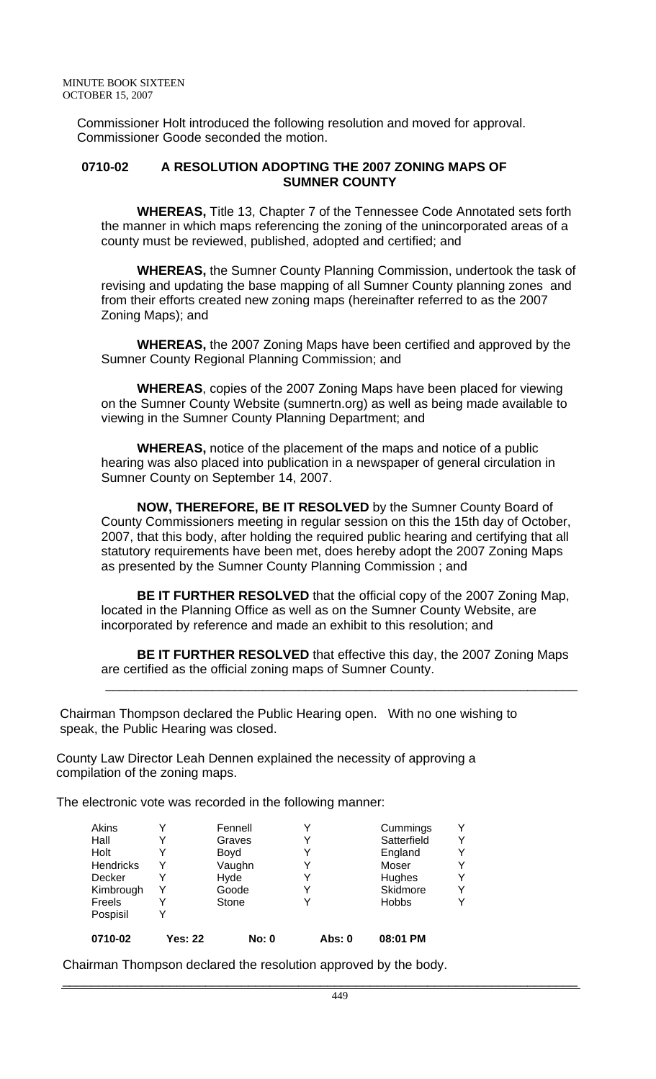Commissioner Holt introduced the following resolution and moved for approval. Commissioner Goode seconded the motion.

#### **0710-02 A RESOLUTION ADOPTING THE 2007 ZONING MAPS OF SUMNER COUNTY**

 **WHEREAS,** Title 13, Chapter 7 of the Tennessee Code Annotated sets forth the manner in which maps referencing the zoning of the unincorporated areas of a county must be reviewed, published, adopted and certified; and

 **WHEREAS,** the Sumner County Planning Commission, undertook the task of revising and updating the base mapping of all Sumner County planning zones and from their efforts created new zoning maps (hereinafter referred to as the 2007 Zoning Maps); and

 **WHEREAS,** the 2007 Zoning Maps have been certified and approved by the Sumner County Regional Planning Commission; and

 **WHEREAS**, copies of the 2007 Zoning Maps have been placed for viewing on the Sumner County Website (sumnertn.org) as well as being made available to viewing in the Sumner County Planning Department; and

 **WHEREAS,** notice of the placement of the maps and notice of a public hearing was also placed into publication in a newspaper of general circulation in Sumner County on September 14, 2007.

 **NOW, THEREFORE, BE IT RESOLVED** by the Sumner County Board of County Commissioners meeting in regular session on this the 15th day of October, 2007, that this body, after holding the required public hearing and certifying that all statutory requirements have been met, does hereby adopt the 2007 Zoning Maps as presented by the Sumner County Planning Commission ; and

 **BE IT FURTHER RESOLVED** that the official copy of the 2007 Zoning Map, located in the Planning Office as well as on the Sumner County Website, are incorporated by reference and made an exhibit to this resolution; and

 **BE IT FURTHER RESOLVED** that effective this day, the 2007 Zoning Maps are certified as the official zoning maps of Sumner County.

 $\frac{1}{2}$  ,  $\frac{1}{2}$  ,  $\frac{1}{2}$  ,  $\frac{1}{2}$  ,  $\frac{1}{2}$  ,  $\frac{1}{2}$  ,  $\frac{1}{2}$  ,  $\frac{1}{2}$  ,  $\frac{1}{2}$  ,  $\frac{1}{2}$  ,  $\frac{1}{2}$  ,  $\frac{1}{2}$  ,  $\frac{1}{2}$  ,  $\frac{1}{2}$  ,  $\frac{1}{2}$  ,  $\frac{1}{2}$  ,  $\frac{1}{2}$  ,  $\frac{1}{2}$  ,  $\frac{1$ 

 Chairman Thompson declared the Public Hearing open. With no one wishing to speak, the Public Hearing was closed.

 County Law Director Leah Dennen explained the necessity of approving a compilation of the zoning maps.

The electronic vote was recorded in the following manner:

| 0710-02   | Yes: 22 | <b>No: 0</b> | Abs: 0 | 08:01 PM     |   |
|-----------|---------|--------------|--------|--------------|---|
| Pospisil  |         |              |        |              |   |
| Freels    | Y       | Stone        |        | <b>Hobbs</b> | v |
| Kimbrough | Y       | Goode        |        | Skidmore     | v |
| Decker    |         | Hyde         |        | Hughes       | v |
| Hendricks | Y       | Vaughn       |        | Moser        | v |
| Holt      |         | Boyd         |        | England      | Y |
| Hall      | Y       | Graves       |        | Satterfield  | Y |
| Akins     | v       | Fennell      |        | Cummings     | Y |

Chairman Thompson declared the resolution approved by the body.

\_\_\_\_\_\_\_\_\_\_\_\_\_\_\_\_\_\_\_\_\_\_\_\_\_\_\_\_\_\_\_\_\_\_\_\_\_\_\_\_\_\_\_\_\_\_\_\_\_\_\_\_\_\_\_\_\_\_\_\_\_\_\_\_\_\_\_\_\_\_\_\_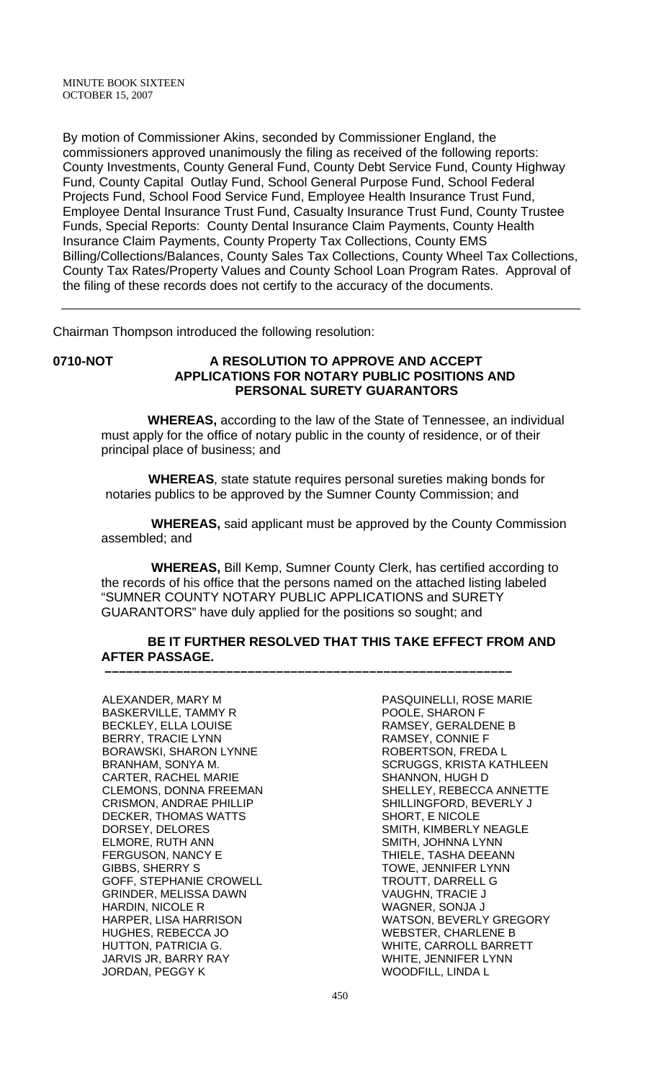By motion of Commissioner Akins, seconded by Commissioner England, the commissioners approved unanimously the filing as received of the following reports: County Investments, County General Fund, County Debt Service Fund, County Highway Fund, County Capital Outlay Fund, School General Purpose Fund, School Federal Projects Fund, School Food Service Fund, Employee Health Insurance Trust Fund, Employee Dental Insurance Trust Fund, Casualty Insurance Trust Fund, County Trustee Funds, Special Reports: County Dental Insurance Claim Payments, County Health Insurance Claim Payments, County Property Tax Collections, County EMS Billing/Collections/Balances, County Sales Tax Collections, County Wheel Tax Collections, County Tax Rates/Property Values and County School Loan Program Rates. Approval of the filing of these records does not certify to the accuracy of the documents.

Chairman Thompson introduced the following resolution:

#### **0710-NOT A RESOLUTION TO APPROVE AND ACCEPT APPLICATIONS FOR NOTARY PUBLIC POSITIONS AND PERSONAL SURETY GUARANTORS**

 **WHEREAS,** according to the law of the State of Tennessee, an individual must apply for the office of notary public in the county of residence, or of their principal place of business; and

 **WHEREAS**, state statute requires personal sureties making bonds for notaries publics to be approved by the Sumner County Commission; and

 **WHEREAS,** said applicant must be approved by the County Commission assembled; and

 **WHEREAS,** Bill Kemp, Sumner County Clerk, has certified according to the records of his office that the persons named on the attached listing labeled "SUMNER COUNTY NOTARY PUBLIC APPLICATIONS and SURETY GUARANTORS" have duly applied for the positions so sought; and

# **BE IT FURTHER RESOLVED THAT THIS TAKE EFFECT FROM AND AFTER PASSAGE.**

 **–––––––––––––––––––––––––––––––––––––––––––––––––––––––––**

ALEXANDER, MARY M BASKERVILLE, TAMMY R BECKLEY, ELLA LOUISE BERRY, TRACIE LYNN BORAWSKI, SHARON LYNNE BRANHAM, SONYA M. CARTER, RACHEL MARIE CLEMONS, DONNA FREEMAN CRISMON, ANDRAE PHILLIP DECKER, THOMAS WATTS DORSEY, DELORES ELMORE, RUTH ANN FERGUSON, NANCY E GIBBS, SHERRY S GOFF, STEPHANIE CROWELL GRINDER, MELISSA DAWN HARDIN, NICOLE R HARPER, LISA HARRISON HUGHES, REBECCA JO HUTTON, PATRICIA G. JARVIS JR, BARRY RAY JORDAN, PEGGY K

PASQUINELLI, ROSE MARIE POOLE, SHARON F RAMSEY, GERALDENE B RAMSEY, CONNIE F ROBERTSON, FREDA L SCRUGGS, KRISTA KATHLEEN SHANNON, HUGH D SHELLEY, REBECCA ANNETTE SHILLINGFORD, BEVERLY J SHORT, E NICOLE SMITH, KIMBERLY NEAGLE SMITH, JOHNNA LYNN THIELE, TASHA DEEANN TOWE, JENNIFER LYNN TROUTT, DARRELL G VAUGHN, TRACIE J WAGNER, SONJA J WATSON, BEVERLY GREGORY WEBSTER, CHARLENE B WHITE, CARROLL BARRETT WHITE, JENNIFER LYNN WOODFILL, LINDA L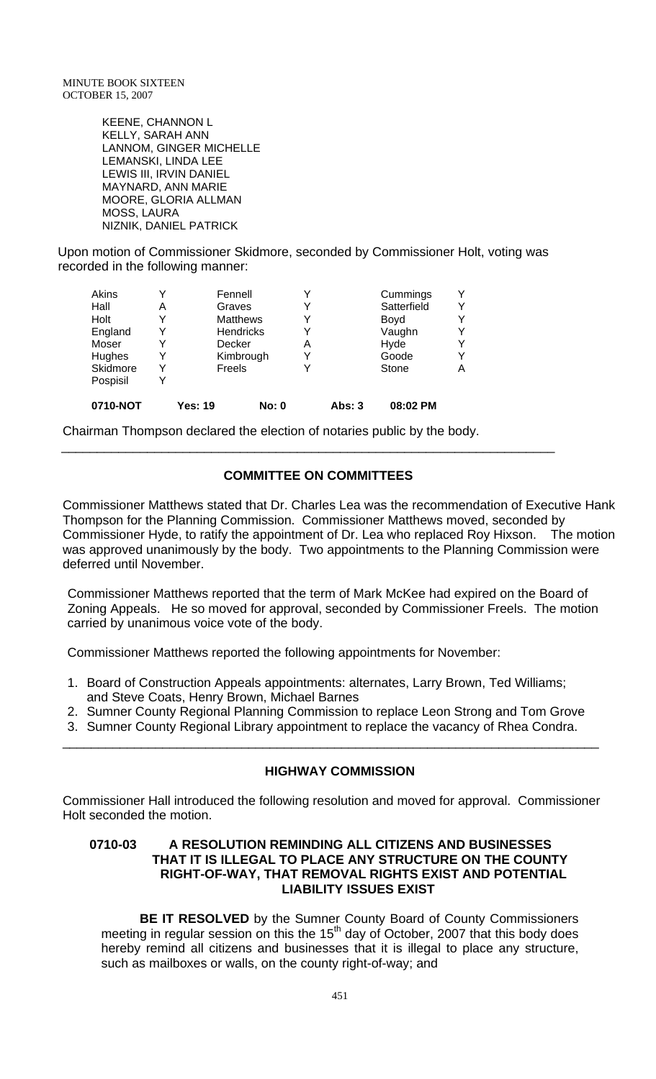KEENE, CHANNON L KELLY, SARAH ANN LANNOM, GINGER MICHELLE LEMANSKI, LINDA LEE LEWIS III, IRVIN DANIEL MAYNARD, ANN MARIE MOORE, GLORIA ALLMAN MOSS, LAURA NIZNIK, DANIEL PATRICK

Upon motion of Commissioner Skidmore, seconded by Commissioner Holt, voting was recorded in the following manner:

| Akins    | Y |                 | Fennell      |   |          | Cummings    |   |
|----------|---|-----------------|--------------|---|----------|-------------|---|
| Hall     | Α | Graves          |              |   |          | Satterfield |   |
| Holt     | Y | <b>Matthews</b> |              |   |          | Boyd        |   |
| England  | Y | Hendricks       |              |   |          | Vaughn      |   |
| Moser    | Y |                 | Decker       | Α |          | Hyde        |   |
| Hughes   | Y |                 | Kimbrough    |   | Goode    |             |   |
| Skidmore | Y | Freels          |              |   |          | Stone       | Α |
| Pospisil | Y |                 |              |   |          |             |   |
| 0710-NOT |   | Yes: 19         | <b>No: 0</b> |   | Abs: $3$ | 08:02 PM    |   |

Chairman Thompson declared the election of notaries public by the body.

# **COMMITTEE ON COMMITTEES**

\_\_\_\_\_\_\_\_\_\_\_\_\_\_\_\_\_\_\_\_\_\_\_\_\_\_\_\_\_\_\_\_\_\_\_\_\_\_\_\_\_\_\_\_\_\_\_\_\_\_\_\_\_\_\_\_\_\_\_\_\_\_\_\_\_\_\_\_\_

Commissioner Matthews stated that Dr. Charles Lea was the recommendation of Executive Hank Thompson for the Planning Commission. Commissioner Matthews moved, seconded by Commissioner Hyde, to ratify the appointment of Dr. Lea who replaced Roy Hixson. The motion was approved unanimously by the body. Two appointments to the Planning Commission were deferred until November.

Commissioner Matthews reported that the term of Mark McKee had expired on the Board of Zoning Appeals. He so moved for approval, seconded by Commissioner Freels. The motion carried by unanimous voice vote of the body.

Commissioner Matthews reported the following appointments for November:

- 1. Board of Construction Appeals appointments: alternates, Larry Brown, Ted Williams; and Steve Coats, Henry Brown, Michael Barnes
- 2. Sumner County Regional Planning Commission to replace Leon Strong and Tom Grove

\_\_\_\_\_\_\_\_\_\_\_\_\_\_\_\_\_\_\_\_\_\_\_\_\_\_\_\_\_\_\_\_\_\_\_\_\_\_\_\_\_\_\_\_\_\_\_\_\_\_\_\_\_\_\_\_\_\_\_\_\_\_\_\_\_\_\_\_\_\_\_\_\_\_\_

3. Sumner County Regional Library appointment to replace the vacancy of Rhea Condra.

## **HIGHWAY COMMISSION**

Commissioner Hall introduced the following resolution and moved for approval. Commissioner Holt seconded the motion.

#### **0710-03 A RESOLUTION REMINDING ALL CITIZENS AND BUSINESSES THAT IT IS ILLEGAL TO PLACE ANY STRUCTURE ON THE COUNTY RIGHT-OF-WAY, THAT REMOVAL RIGHTS EXIST AND POTENTIAL LIABILITY ISSUES EXIST**

 **BE IT RESOLVED** by the Sumner County Board of County Commissioners meeting in regular session on this the  $15<sup>th</sup>$  day of October, 2007 that this body does hereby remind all citizens and businesses that it is illegal to place any structure, such as mailboxes or walls, on the county right-of-way; and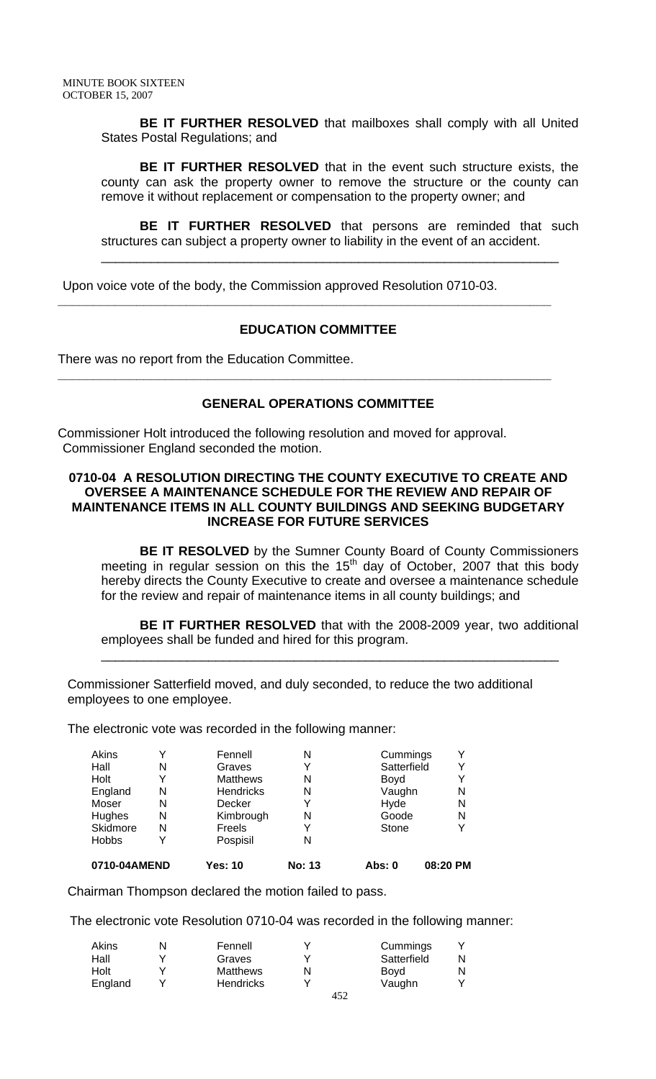**BE IT FURTHER RESOLVED** that mailboxes shall comply with all United States Postal Regulations; and

**BE IT FURTHER RESOLVED** that in the event such structure exists, the county can ask the property owner to remove the structure or the county can remove it without replacement or compensation to the property owner; and

**BE IT FURTHER RESOLVED** that persons are reminded that such structures can subject a property owner to liability in the event of an accident.

\_\_\_\_\_\_\_\_\_\_\_\_\_\_\_\_\_\_\_\_\_\_\_\_\_\_\_\_\_\_\_\_\_\_\_\_\_\_\_\_\_\_\_\_\_\_\_\_\_\_\_\_\_\_\_\_\_\_\_\_\_\_\_\_

Upon voice vote of the body, the Commission approved Resolution 0710-03.

#### **EDUCATION COMMITTEE**

**\_\_\_\_\_\_\_\_\_\_\_\_\_\_\_\_\_\_\_\_\_\_\_\_\_\_\_\_\_\_\_\_\_\_\_\_\_\_\_\_\_\_\_\_\_\_\_\_\_\_\_\_\_\_\_\_\_\_\_\_\_\_\_\_\_\_\_\_\_** 

**\_\_\_\_\_\_\_\_\_\_\_\_\_\_\_\_\_\_\_\_\_\_\_\_\_\_\_\_\_\_\_\_\_\_\_\_\_\_\_\_\_\_\_\_\_\_\_\_\_\_\_\_\_\_\_\_\_\_\_\_\_\_\_\_\_\_\_\_\_** 

There was no report from the Education Committee.

#### **GENERAL OPERATIONS COMMITTEE**

Commissioner Holt introduced the following resolution and moved for approval. Commissioner England seconded the motion.

## **0710-04 A RESOLUTION DIRECTING THE COUNTY EXECUTIVE TO CREATE AND OVERSEE A MAINTENANCE SCHEDULE FOR THE REVIEW AND REPAIR OF MAINTENANCE ITEMS IN ALL COUNTY BUILDINGS AND SEEKING BUDGETARY INCREASE FOR FUTURE SERVICES**

**BE IT RESOLVED** by the Sumner County Board of County Commissioners meeting in regular session on this the  $15<sup>th</sup>$  day of October, 2007 that this body hereby directs the County Executive to create and oversee a maintenance schedule for the review and repair of maintenance items in all county buildings; and

**BE IT FURTHER RESOLVED** that with the 2008-2009 year, two additional employees shall be funded and hired for this program.

\_\_\_\_\_\_\_\_\_\_\_\_\_\_\_\_\_\_\_\_\_\_\_\_\_\_\_\_\_\_\_\_\_\_\_\_\_\_\_\_\_\_\_\_\_\_\_\_\_\_\_\_\_\_\_\_\_\_\_\_\_\_\_\_

Commissioner Satterfield moved, and duly seconded, to reduce the two additional employees to one employee.

The electronic vote was recorded in the following manner:

| 0710-04AMEND |   | Yes: 10          | No: 13 | Abs: 0      | 08:20 PM |
|--------------|---|------------------|--------|-------------|----------|
| <b>Hobbs</b> | Y | Pospisil         | N      |             |          |
| Skidmore     | N | Freels           | Y      | Stone       | Y        |
| Hughes       | N | Kimbrough        | N      | Goode       | N        |
| Moser        | N | Decker           | Y      | Hyde        | N        |
| England      | N | <b>Hendricks</b> | N      | Vaughn      | N        |
| Holt         | Y | <b>Matthews</b>  | N      | Boyd        | Y        |
| Hall         | N | Graves           | Y      | Satterfield | Y        |
| Akins        | Υ | Fennell          | N      | Cummings    | Y        |
|              |   |                  |        |             |          |

Chairman Thompson declared the motion failed to pass.

The electronic vote Resolution 0710-04 was recorded in the following manner:

| Akins   | Fennell          |              | Cummings    |  |
|---------|------------------|--------------|-------------|--|
| Hall    | Graves           |              | Satterfield |  |
| Holt    | <b>Matthews</b>  | N            | Bovd        |  |
| England | <b>Hendricks</b> |              | Vaughn      |  |
|         |                  | $1 - \alpha$ |             |  |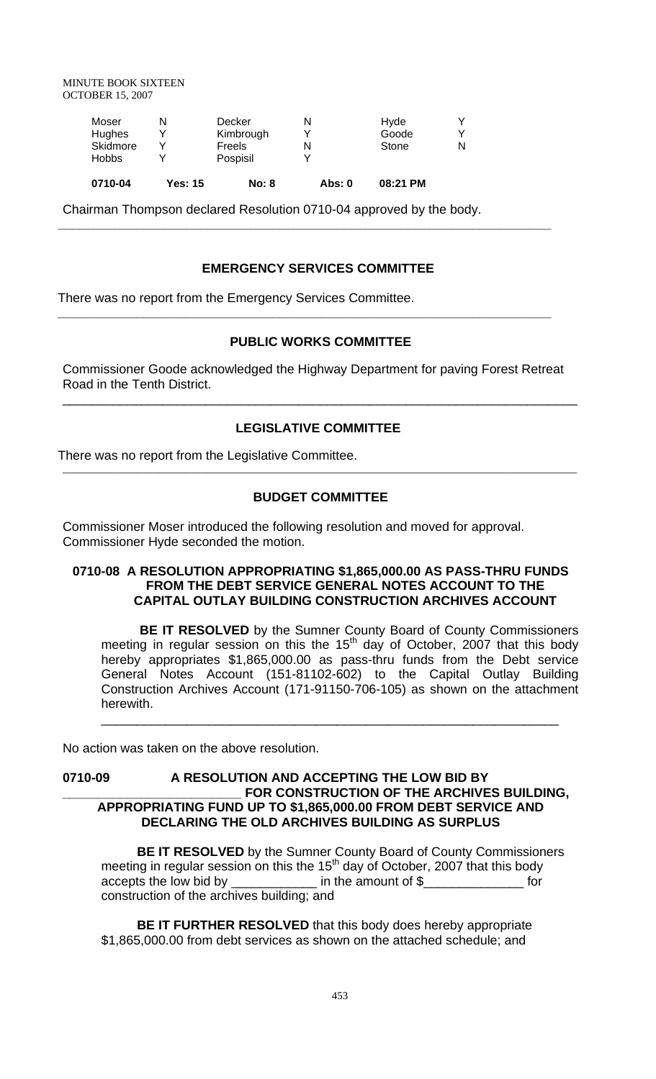MINUTE BOOK SIXTEEN OCTOBER 15, 2007

| 0710-04      | <b>Yes: 15</b> | <b>No: 8</b> | Abs: 0 | 08:21 PM |  |
|--------------|----------------|--------------|--------|----------|--|
| <b>Hobbs</b> |                | Pospisil     |        |          |  |
| Skidmore     |                | Freels       |        | Stone    |  |
| Hughes       |                | Kimbrough    |        | Goode    |  |
| Moser        |                | Decker       |        | Hyde     |  |
|              |                |              |        |          |  |

Chairman Thompson declared Resolution 0710-04 approved by the body.

## **EMERGENCY SERVICES COMMITTEE**

**\_\_\_\_\_\_\_\_\_\_\_\_\_\_\_\_\_\_\_\_\_\_\_\_\_\_\_\_\_\_\_\_\_\_\_\_\_\_\_\_\_\_\_\_\_\_\_\_\_\_\_\_\_\_\_\_\_\_\_\_\_\_\_\_\_\_\_\_\_** 

**\_\_\_\_\_\_\_\_\_\_\_\_\_\_\_\_\_\_\_\_\_\_\_\_\_\_\_\_\_\_\_\_\_\_\_\_\_\_\_\_\_\_\_\_\_\_\_\_\_\_\_\_\_\_\_\_\_\_\_\_\_\_\_\_\_\_\_\_\_** 

There was no report from the Emergency Services Committee.

#### **PUBLIC WORKS COMMITTEE**

Commissioner Goode acknowledged the Highway Department for paving Forest Retreat Road in the Tenth District.

## **LEGISLATIVE COMMITTEE**

\_\_\_\_\_\_\_\_\_\_\_\_\_\_\_\_\_\_\_\_\_\_\_\_\_\_\_\_\_\_\_\_\_\_\_\_\_\_\_\_\_\_\_\_\_\_\_\_\_\_\_\_\_\_\_\_\_\_\_\_\_\_\_\_\_\_\_\_\_\_\_\_

There was no report from the Legislative Committee.

#### **BUDGET COMMITTEE**

 $\overline{a}$  , and the contribution of the contribution of the contribution of the contribution of the contribution of the contribution of the contribution of the contribution of the contribution of the contribution of the co

Commissioner Moser introduced the following resolution and moved for approval. Commissioner Hyde seconded the motion.

#### **0710-08 A RESOLUTION APPROPRIATING \$1,865,000.00 AS PASS-THRU FUNDS FROM THE DEBT SERVICE GENERAL NOTES ACCOUNT TO THE CAPITAL OUTLAY BUILDING CONSTRUCTION ARCHIVES ACCOUNT**

**BE IT RESOLVED** by the Sumner County Board of County Commissioners meeting in regular session on this the  $15<sup>th</sup>$  day of October, 2007 that this body hereby appropriates \$1,865,000.00 as pass-thru funds from the Debt service General Notes Account (151-81102-602) to the Capital Outlay Building Construction Archives Account (171-91150-706-105) as shown on the attachment herewith.

\_\_\_\_\_\_\_\_\_\_\_\_\_\_\_\_\_\_\_\_\_\_\_\_\_\_\_\_\_\_\_\_\_\_\_\_\_\_\_\_\_\_\_\_\_\_\_\_\_\_\_\_\_\_\_\_\_\_\_\_\_\_\_\_

No action was taken on the above resolution.

## **0710-09 A RESOLUTION AND ACCEPTING THE LOW BID BY**  FOR CONSTRUCTION OF THE ARCHIVES BUILDING, **APPROPRIATING FUND UP TO \$1,865,000.00 FROM DEBT SERVICE AND DECLARING THE OLD ARCHIVES BUILDING AS SURPLUS**

 **BE IT RESOLVED** by the Sumner County Board of County Commissioners meeting in regular session on this the  $15<sup>th</sup>$  day of October, 2007 that this body accepts the low bid by example in the amount of \$ construction of the archives building; and

 **BE IT FURTHER RESOLVED** that this body does hereby appropriate \$1,865,000.00 from debt services as shown on the attached schedule; and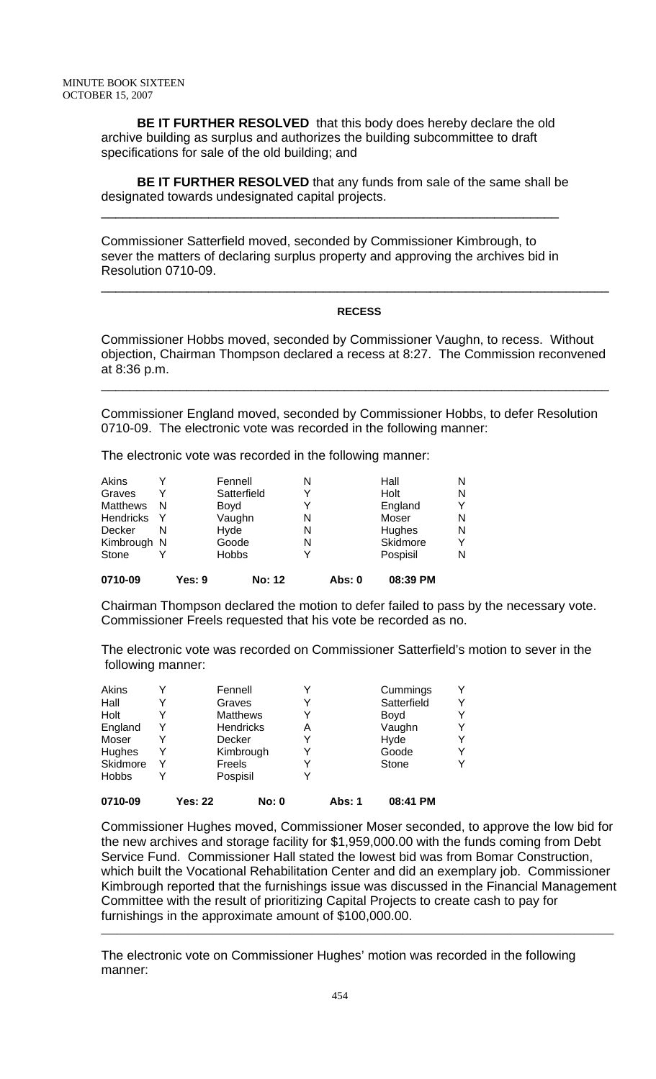**BE IT FURTHER RESOLVED** that this body does hereby declare the old archive building as surplus and authorizes the building subcommittee to draft specifications for sale of the old building; and

 **BE IT FURTHER RESOLVED** that any funds from sale of the same shall be designated towards undesignated capital projects.

Commissioner Satterfield moved, seconded by Commissioner Kimbrough, to sever the matters of declaring surplus property and approving the archives bid in Resolution 0710-09.

\_\_\_\_\_\_\_\_\_\_\_\_\_\_\_\_\_\_\_\_\_\_\_\_\_\_\_\_\_\_\_\_\_\_\_\_\_\_\_\_\_\_\_\_\_\_\_\_\_\_\_\_\_\_\_\_\_\_\_\_\_\_\_\_

#### **RECESS**

\_\_\_\_\_\_\_\_\_\_\_\_\_\_\_\_\_\_\_\_\_\_\_\_\_\_\_\_\_\_\_\_\_\_\_\_\_\_\_\_\_\_\_\_\_\_\_\_\_\_\_\_\_\_\_\_\_\_\_\_\_\_\_\_\_\_\_\_\_\_\_

Commissioner Hobbs moved, seconded by Commissioner Vaughn, to recess. Without objection, Chairman Thompson declared a recess at 8:27. The Commission reconvened at 8:36 p.m.

\_\_\_\_\_\_\_\_\_\_\_\_\_\_\_\_\_\_\_\_\_\_\_\_\_\_\_\_\_\_\_\_\_\_\_\_\_\_\_\_\_\_\_\_\_\_\_\_\_\_\_\_\_\_\_\_\_\_\_\_\_\_\_\_\_\_\_\_\_\_\_

Commissioner England moved, seconded by Commissioner Hobbs, to defer Resolution 0710-09. The electronic vote was recorded in the following manner:

The electronic vote was recorded in the following manner:

| Akins            |     |        | Fennell      |               | N |        | Hall     | N |
|------------------|-----|--------|--------------|---------------|---|--------|----------|---|
| Graves           | Y   |        | Satterfield  |               |   |        | Holt     | N |
| <b>Matthews</b>  | -N  |        | Boyd         |               |   |        | England  |   |
| <b>Hendricks</b> | - Y |        | Vaughn       |               | N |        | Moser    | N |
| Decker           | N   |        | Hyde         |               | N |        | Hughes   | N |
| Kimbrough N      |     |        | Goode        |               | N |        | Skidmore | v |
| Stone            |     |        | <b>Hobbs</b> |               |   |        | Pospisil | N |
| 0710-09          |     | Yes: 9 |              | <b>No: 12</b> |   | Abs: 0 | 08:39 PM |   |

Chairman Thompson declared the motion to defer failed to pass by the necessary vote. Commissioner Freels requested that his vote be recorded as no.

The electronic vote was recorded on Commissioner Satterfield's motion to sever in the following manner:

| Akins        |   | Fennell         |                  |   |        | Cummings    | v |
|--------------|---|-----------------|------------------|---|--------|-------------|---|
| Hall         | Y | Graves          |                  | Y |        | Satterfield | v |
| Holt         | Y | <b>Matthews</b> |                  | Y |        | Boyd        | v |
| England      | Y |                 | <b>Hendricks</b> | А |        | Vaughn      | v |
| Moser        |   | Decker          |                  | Y |        | Hyde        | v |
| Hughes       | Y |                 | Kimbrough        |   |        | Goode       | Y |
| Skidmore     | Y | Freels          |                  | Y |        | Stone       | v |
| <b>Hobbs</b> | Y | Pospisil        |                  | Y |        |             |   |
| 0710-09      |   | Yes: 22         | <b>No: 0</b>     |   | Abs: 1 | 08:41 PM    |   |

Commissioner Hughes moved, Commissioner Moser seconded, to approve the low bid for the new archives and storage facility for \$1,959,000.00 with the funds coming from Debt Service Fund. Commissioner Hall stated the lowest bid was from Bomar Construction, which built the Vocational Rehabilitation Center and did an exemplary job. Commissioner Kimbrough reported that the furnishings issue was discussed in the Financial Management Committee with the result of prioritizing Capital Projects to create cash to pay for furnishings in the approximate amount of \$100,000.00.

The electronic vote on Commissioner Hughes' motion was recorded in the following manner: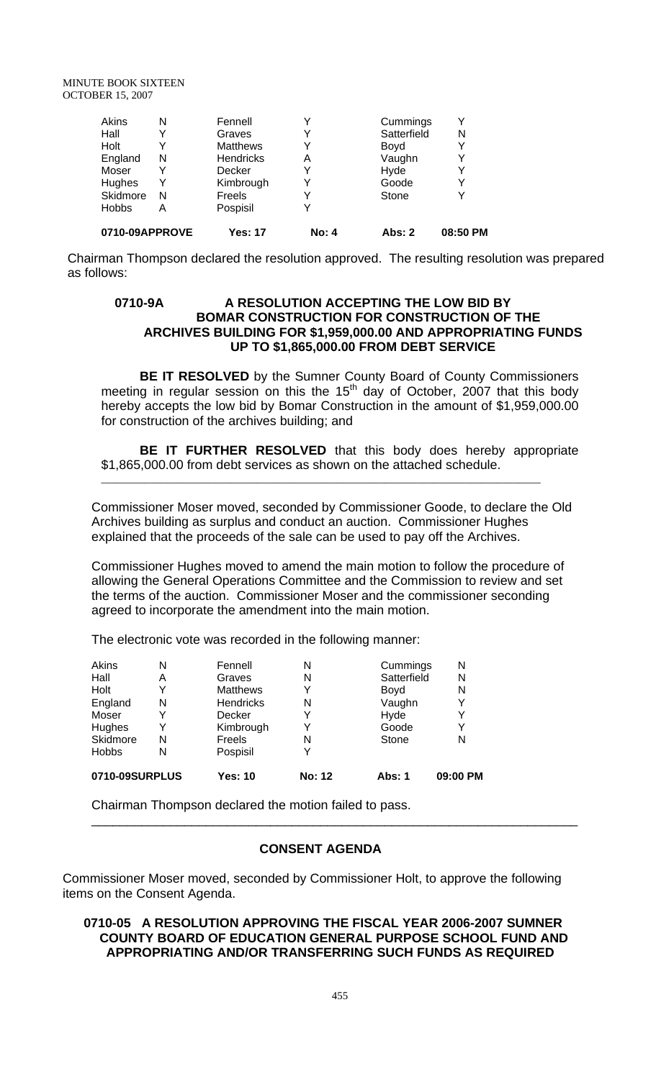MINUTE BOOK SIXTEEN OCTOBER 15, 2007

|   |                 | Y             |             |   |
|---|-----------------|---------------|-------------|---|
| N | Freels          | Y             | Stone       | Υ |
| Y | Kimbrough       | Y             | Goode       | Y |
| Y | Decker          | Y             | Hyde        | Y |
| N | Hendricks       | Α             | Vaughn      | Y |
| Y | <b>Matthews</b> | Y             | Boyd        | Y |
| Y | Graves          | Y             | Satterfield | N |
| N | Fennell         | Y             | Cummings    | Y |
|   |                 | Pospisil<br>Α |             |   |

Chairman Thompson declared the resolution approved. The resulting resolution was prepared as follows:

#### **0710-9A A RESOLUTION ACCEPTING THE LOW BID BY BOMAR CONSTRUCTION FOR CONSTRUCTION OF THE ARCHIVES BUILDING FOR \$1,959,000.00 AND APPROPRIATING FUNDS UP TO \$1,865,000.00 FROM DEBT SERVICE**

**BE IT RESOLVED** by the Sumner County Board of County Commissioners meeting in regular session on this the  $15<sup>th</sup>$  day of October, 2007 that this body hereby accepts the low bid by Bomar Construction in the amount of \$1,959,000.00 for construction of the archives building; and

**BE IT FURTHER RESOLVED** that this body does hereby appropriate \$1,865,000.00 from debt services as shown on the attached schedule.

Commissioner Moser moved, seconded by Commissioner Goode, to declare the Old Archives building as surplus and conduct an auction. Commissioner Hughes explained that the proceeds of the sale can be used to pay off the Archives.

\_\_\_\_\_\_\_\_\_\_\_\_\_\_\_\_\_\_\_\_\_\_\_\_\_\_\_\_\_\_\_\_\_\_\_\_\_\_\_\_\_\_\_\_\_\_\_\_\_\_\_\_\_\_\_\_\_\_\_\_\_\_\_\_\_\_\_\_\_\_\_\_\_\_\_\_\_\_\_\_\_\_

Commissioner Hughes moved to amend the main motion to follow the procedure of allowing the General Operations Committee and the Commission to review and set the terms of the auction. Commissioner Moser and the commissioner seconding agreed to incorporate the amendment into the main motion.

The electronic vote was recorded in the following manner:

| Akins          | N | Fennell          | N             | Cummings    | N        |
|----------------|---|------------------|---------------|-------------|----------|
| Hall           | Α | Graves           | N             | Satterfield | N        |
| Holt           |   | <b>Matthews</b>  |               | Boyd        | N        |
| England        | N | <b>Hendricks</b> | N             | Vaughn      | Y        |
| Moser          |   | Decker           |               | Hyde        | Y        |
| Hughes         |   | Kimbrough        |               | Goode       | Y        |
| Skidmore       | N | Freels           | N             | Stone       | N        |
| <b>Hobbs</b>   | N | Pospisil         | ∨             |             |          |
| 0710-09SURPLUS |   | Yes: 10          | <b>No: 12</b> | Abs: 1      | 09:00 PM |

Chairman Thompson declared the motion failed to pass.

#### **CONSENT AGENDA**

\_\_\_\_\_\_\_\_\_\_\_\_\_\_\_\_\_\_\_\_\_\_\_\_\_\_\_\_\_\_\_\_\_\_\_\_\_\_\_\_\_\_\_\_\_\_\_\_\_\_\_\_\_\_\_\_\_\_\_\_\_\_\_\_\_\_\_\_

Commissioner Moser moved, seconded by Commissioner Holt, to approve the following items on the Consent Agenda.

## **0710-05 A RESOLUTION APPROVING THE FISCAL YEAR 2006-2007 SUMNER COUNTY BOARD OF EDUCATION GENERAL PURPOSE SCHOOL FUND AND APPROPRIATING AND/OR TRANSFERRING SUCH FUNDS AS REQUIRED**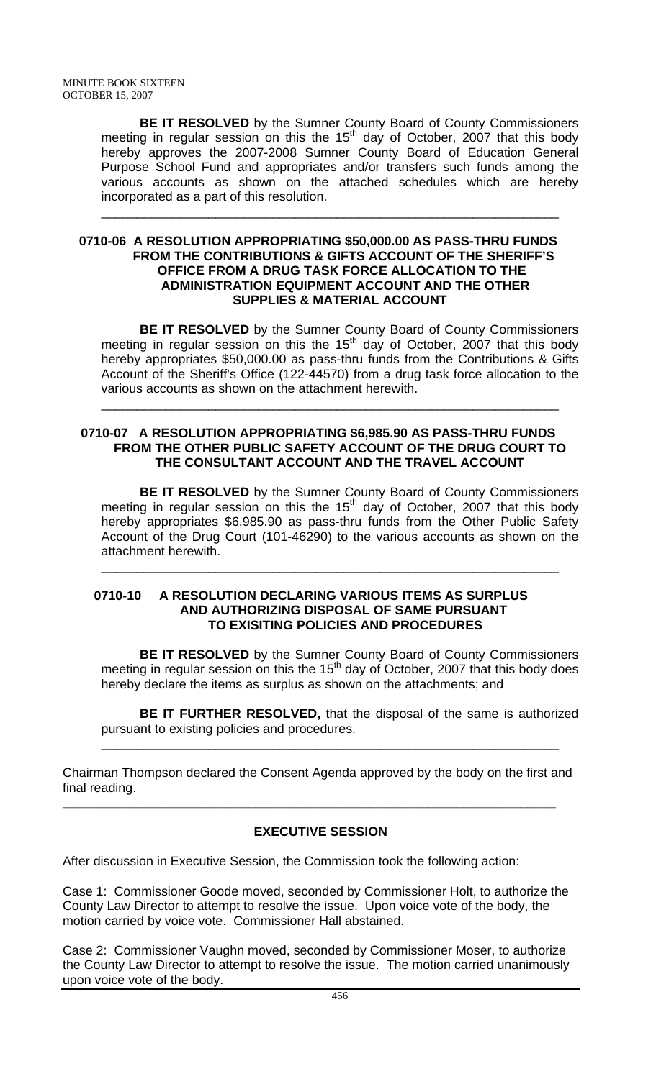**BE IT RESOLVED** by the Sumner County Board of County Commissioners meeting in regular session on this the  $15<sup>th</sup>$  day of October, 2007 that this body hereby approves the 2007-2008 Sumner County Board of Education General Purpose School Fund and appropriates and/or transfers such funds among the various accounts as shown on the attached schedules which are hereby incorporated as a part of this resolution.

\_\_\_\_\_\_\_\_\_\_\_\_\_\_\_\_\_\_\_\_\_\_\_\_\_\_\_\_\_\_\_\_\_\_\_\_\_\_\_\_\_\_\_\_\_\_\_\_\_\_\_\_\_\_\_\_\_\_\_\_\_\_\_\_

#### **0710-06 A RESOLUTION APPROPRIATING \$50,000.00 AS PASS-THRU FUNDS FROM THE CONTRIBUTIONS & GIFTS ACCOUNT OF THE SHERIFF'S OFFICE FROM A DRUG TASK FORCE ALLOCATION TO THE ADMINISTRATION EQUIPMENT ACCOUNT AND THE OTHER SUPPLIES & MATERIAL ACCOUNT**

**BE IT RESOLVED** by the Sumner County Board of County Commissioners meeting in regular session on this the 15<sup>th</sup> day of October, 2007 that this body hereby appropriates \$50,000.00 as pass-thru funds from the Contributions & Gifts Account of the Sheriff's Office (122-44570) from a drug task force allocation to the various accounts as shown on the attachment herewith.

## **0710-07 A RESOLUTION APPROPRIATING \$6,985.90 AS PASS-THRU FUNDS FROM THE OTHER PUBLIC SAFETY ACCOUNT OF THE DRUG COURT TO THE CONSULTANT ACCOUNT AND THE TRAVEL ACCOUNT**

\_\_\_\_\_\_\_\_\_\_\_\_\_\_\_\_\_\_\_\_\_\_\_\_\_\_\_\_\_\_\_\_\_\_\_\_\_\_\_\_\_\_\_\_\_\_\_\_\_\_\_\_\_\_\_\_\_\_\_\_\_\_\_\_

**BE IT RESOLVED** by the Sumner County Board of County Commissioners meeting in regular session on this the  $15<sup>th</sup>$  day of October, 2007 that this body hereby appropriates \$6,985.90 as pass-thru funds from the Other Public Safety Account of the Drug Court (101-46290) to the various accounts as shown on the attachment herewith.

\_\_\_\_\_\_\_\_\_\_\_\_\_\_\_\_\_\_\_\_\_\_\_\_\_\_\_\_\_\_\_\_\_\_\_\_\_\_\_\_\_\_\_\_\_\_\_\_\_\_\_\_\_\_\_\_\_\_\_\_\_\_\_\_

#### **0710-10 A RESOLUTION DECLARING VARIOUS ITEMS AS SURPLUS AND AUTHORIZING DISPOSAL OF SAME PURSUANT TO EXISITING POLICIES AND PROCEDURES**

**BE IT RESOLVED** by the Sumner County Board of County Commissioners meeting in regular session on this the 15<sup>th</sup> day of October, 2007 that this body does hereby declare the items as surplus as shown on the attachments; and

**BE IT FURTHER RESOLVED,** that the disposal of the same is authorized pursuant to existing policies and procedures.

\_\_\_\_\_\_\_\_\_\_\_\_\_\_\_\_\_\_\_\_\_\_\_\_\_\_\_\_\_\_\_\_\_\_\_\_\_\_\_\_\_\_\_\_\_\_\_\_\_\_\_\_\_\_\_\_\_\_\_\_\_\_\_\_

Chairman Thompson declared the Consent Agenda approved by the body on the first and final reading. **\_\_\_\_\_\_\_\_\_\_\_\_\_\_\_\_\_\_\_\_\_\_\_\_\_\_\_\_\_\_\_\_\_\_\_\_\_\_\_\_\_\_\_\_\_\_\_\_\_\_\_\_\_\_\_\_\_\_\_\_\_\_\_\_\_\_\_\_\_** 

# **EXECUTIVE SESSION**

After discussion in Executive Session, the Commission took the following action:

Case 1: Commissioner Goode moved, seconded by Commissioner Holt, to authorize the County Law Director to attempt to resolve the issue. Upon voice vote of the body, the motion carried by voice vote. Commissioner Hall abstained.

Case 2: Commissioner Vaughn moved, seconded by Commissioner Moser, to authorize the County Law Director to attempt to resolve the issue. The motion carried unanimously upon voice vote of the body.